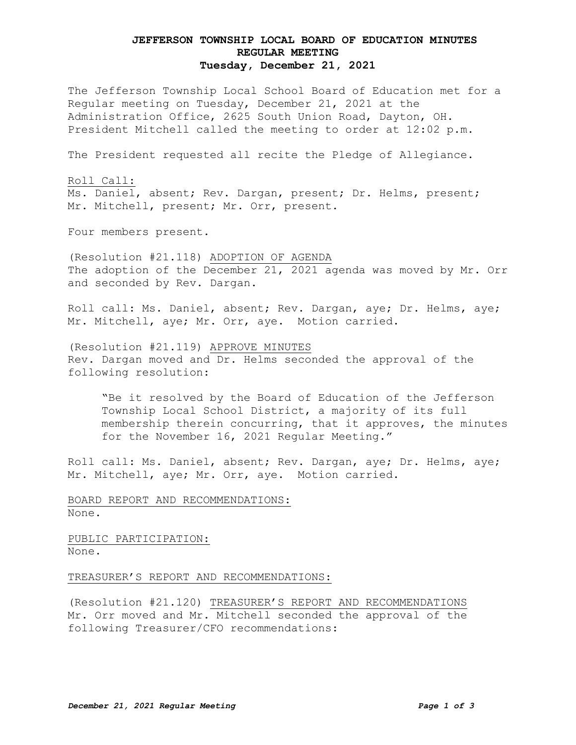## **JEFFERSON TOWNSHIP LOCAL BOARD OF EDUCATION MINUTES REGULAR MEETING Tuesday, December 21, 2021**

The Jefferson Township Local School Board of Education met for a Regular meeting on Tuesday, December 21, 2021 at the Administration Office, 2625 South Union Road, Dayton, OH. President Mitchell called the meeting to order at 12:02 p.m.

The President requested all recite the Pledge of Allegiance.

Roll Call: Ms. Daniel, absent; Rev. Dargan, present; Dr. Helms, present; Mr. Mitchell, present; Mr. Orr, present.

Four members present.

(Resolution #21.118) ADOPTION OF AGENDA The adoption of the December 21, 2021 agenda was moved by Mr. Orr and seconded by Rev. Dargan.

Roll call: Ms. Daniel, absent; Rev. Dargan, aye; Dr. Helms, aye; Mr. Mitchell, aye; Mr. Orr, aye. Motion carried.

(Resolution #21.119) APPROVE MINUTES Rev. Dargan moved and Dr. Helms seconded the approval of the following resolution:

"Be it resolved by the Board of Education of the Jefferson Township Local School District, a majority of its full membership therein concurring, that it approves, the minutes for the November 16, 2021 Regular Meeting."

Roll call: Ms. Daniel, absent; Rev. Dargan, aye; Dr. Helms, aye; Mr. Mitchell, aye; Mr. Orr, aye. Motion carried.

BOARD REPORT AND RECOMMENDATIONS: None.

PUBLIC PARTICIPATION: None.

TREASURER'S REPORT AND RECOMMENDATIONS:

(Resolution #21.120) TREASURER'S REPORT AND RECOMMENDATIONS Mr. Orr moved and Mr. Mitchell seconded the approval of the following Treasurer/CFO recommendations: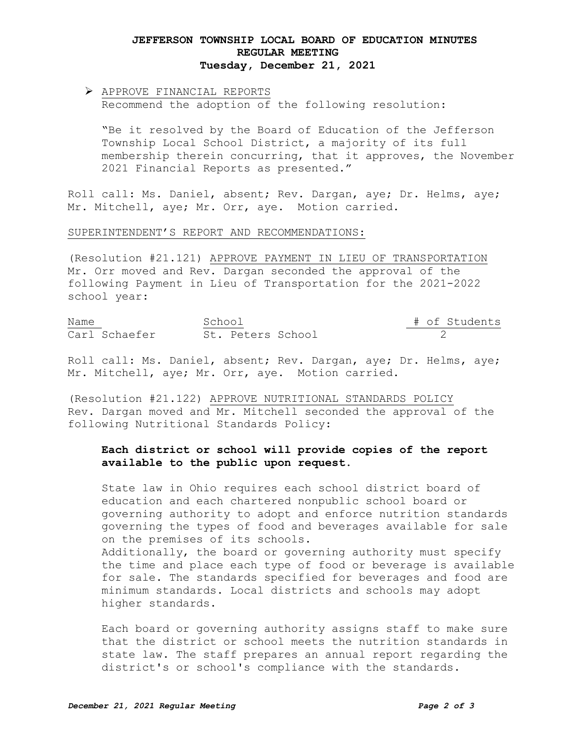## **JEFFERSON TOWNSHIP LOCAL BOARD OF EDUCATION MINUTES REGULAR MEETING Tuesday, December 21, 2021**

# APPROVE FINANCIAL REPORTS Recommend the adoption of the following resolution:

"Be it resolved by the Board of Education of the Jefferson Township Local School District, a majority of its full membership therein concurring, that it approves, the November 2021 Financial Reports as presented."

Roll call: Ms. Daniel, absent; Rev. Dargan, aye; Dr. Helms, aye; Mr. Mitchell, aye; Mr. Orr, aye. Motion carried.

#### SUPERINTENDENT'S REPORT AND RECOMMENDATIONS:

(Resolution #21.121) APPROVE PAYMENT IN LIEU OF TRANSPORTATION Mr. Orr moved and Rev. Dargan seconded the approval of the following Payment in Lieu of Transportation for the 2021-2022 school year:

Name School School + of Students Carl Schaefer St. Peters School 2

Roll call: Ms. Daniel, absent; Rev. Dargan, aye; Dr. Helms, aye; Mr. Mitchell, aye; Mr. Orr, aye. Motion carried.

(Resolution #21.122) APPROVE NUTRITIONAL STANDARDS POLICY Rev. Dargan moved and Mr. Mitchell seconded the approval of the following Nutritional Standards Policy:

### **Each district or school will provide copies of the report available to the public upon request.**

State law in Ohio requires each school district board of education and each chartered nonpublic school board or governing authority to adopt and enforce nutrition standards governing the types of food and beverages available for sale on the premises of its schools. Additionally, the board or governing authority must specify the time and place each type of food or beverage is available for sale. The standards specified for beverages and food are minimum standards. Local districts and schools may adopt higher standards.

Each board or governing authority assigns staff to make sure that the district or school meets the nutrition standards in state law. The staff prepares an annual report regarding the district's or school's compliance with the standards.